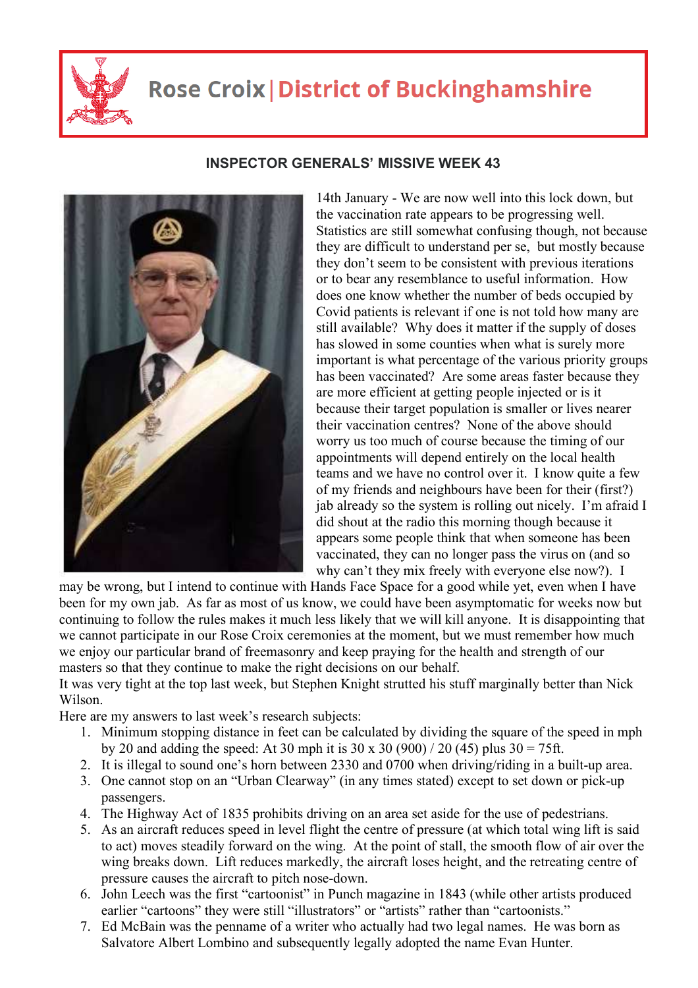

## **Rose Croix | District of Buckinghamshire**



## **INSPECTOR GENERALS' MISSIVE WEEK 43**

14th January - We are now well into this lock down, but the vaccination rate appears to be progressing well. Statistics are still somewhat confusing though, not because they are difficult to understand per se, but mostly because they don't seem to be consistent with previous iterations or to bear any resemblance to useful information. How does one know whether the number of beds occupied by Covid patients is relevant if one is not told how many are still available? Why does it matter if the supply of doses has slowed in some counties when what is surely more important is what percentage of the various priority groups has been vaccinated? Are some areas faster because they are more efficient at getting people injected or is it because their target population is smaller or lives nearer their vaccination centres? None of the above should worry us too much of course because the timing of our appointments will depend entirely on the local health teams and we have no control over it. I know quite a few of my friends and neighbours have been for their (first?) jab already so the system is rolling out nicely. I'm afraid I did shout at the radio this morning though because it appears some people think that when someone has been vaccinated, they can no longer pass the virus on (and so why can't they mix freely with everyone else now?). I

may be wrong, but I intend to continue with Hands Face Space for a good while yet, even when I have been for my own jab. As far as most of us know, we could have been asymptomatic for weeks now but continuing to follow the rules makes it much less likely that we will kill anyone. It is disappointing that we cannot participate in our Rose Croix ceremonies at the moment, but we must remember how much we enjoy our particular brand of freemasonry and keep praying for the health and strength of our masters so that they continue to make the right decisions on our behalf.

It was very tight at the top last week, but Stephen Knight strutted his stuff marginally better than Nick Wilson.

Here are my answers to last week's research subjects:

- 1. Minimum stopping distance in feet can be calculated by dividing the square of the speed in mph by 20 and adding the speed: At 30 mph it is 30 x 30 (900) / 20 (45) plus  $30 = 75$ ft.
- 2. It is illegal to sound one's horn between 2330 and 0700 when driving/riding in a built-up area.
- 3. One cannot stop on an "Urban Clearway" (in any times stated) except to set down or pick-up passengers.
- 4. The Highway Act of 1835 prohibits driving on an area set aside for the use of pedestrians.
- 5. As an aircraft reduces speed in level flight the centre of pressure (at which total wing lift is said to act) moves steadily forward on the wing. At the point of stall, the smooth flow of air over the wing breaks down. Lift reduces markedly, the aircraft loses height, and the retreating centre of pressure causes the aircraft to pitch nose-down.
- 6. John Leech was the first "cartoonist" in Punch magazine in 1843 (while other artists produced earlier "cartoons" they were still "illustrators" or "artists" rather than "cartoonists."
- 7. Ed McBain was the penname of a writer who actually had two legal names. He was born as Salvatore Albert Lombino and subsequently legally adopted the name Evan Hunter.